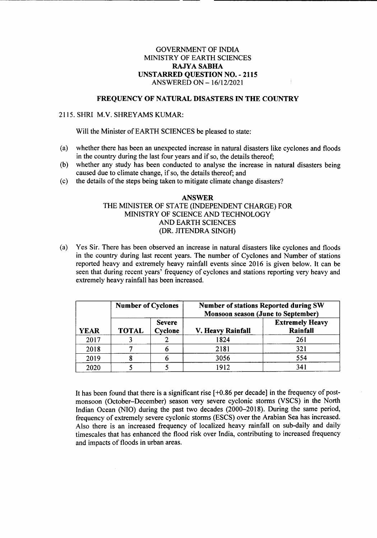## GOVERNMENT OF INDIA MINISTRY OF EARTH SCIENCES RAJYASABHA UNSTARRED QUESTION NO. - 2115 ANSWERED ON *-16/12/2021*

## FREQUENCY OF NATURAL DISASTERS IN THE COUNTRY

## 2115. SHRI M.V. SHREYAMS KUMAR:

Will the Minister of EARTH SCIENCES be pleased to state:

- (a) whether there has been an unexpected increase in natural disasters like cyclones and floods in the country during the last four years and if so, the details thereof;
- (b) whether any study has been conducted to analyse the increase in natural disasters being caused due to climate change, if so, the details thereof; and
- (c) the details of the steps being taken to mitigate climate change disasters?

## ANSWER THE MINISTER OF STATE (INDEPENDENT CHARGE) FOR MINISTRY OF SCIENCE AND TECHNOLOGY AND EARTH SCIENCES (DR. JITENDRA SINGH)

(a) Yes Sir. There has been observed an increase in natural disasters like cyclones and floods in the country during last recent years. The number of Cyclones and Number of stations reported heavy and extremely heavy rainfall events since 2016 is given below. It can be seen that during recent years' frequency of cyclones and stations reporting very heavy and extremely heavy rainfall has been increased.

| <b>YEAR</b> | <b>Number of Cyclones</b> |                          | <b>Number of stations Reported during SW</b><br><b>Monsoon season (June to September)</b> |                                    |
|-------------|---------------------------|--------------------------|-------------------------------------------------------------------------------------------|------------------------------------|
|             | <b>TOTAL</b>              | <b>Severe</b><br>Cyclone | V. Heavy Rainfall                                                                         | <b>Extremely Heavy</b><br>Rainfall |
| 2017        |                           |                          | 1824                                                                                      | 261                                |
| 2018        |                           |                          | 2181                                                                                      | 321                                |
| 2019        |                           |                          | 3056                                                                                      | 554                                |
| 2020        |                           |                          | 1912                                                                                      | 341                                |

It has been found that there is a significant rise [+0.86 per decade] in the frequency of postmonsoon (October-December) season very severe cyclonic storms (VSCS) in the North Indian Ocean (NIO) during the past two decades (2000-2018). During the same period, frequency of extremely severe cyclonic storms (ESCS) over the Arabian Sea has increased. Also there is an increased frequency of localized heavy rainfall on sub-daily and daily timescales that has enhanced the flood risk over India, contributing to increased frequency and impacts of floods in urban areas.